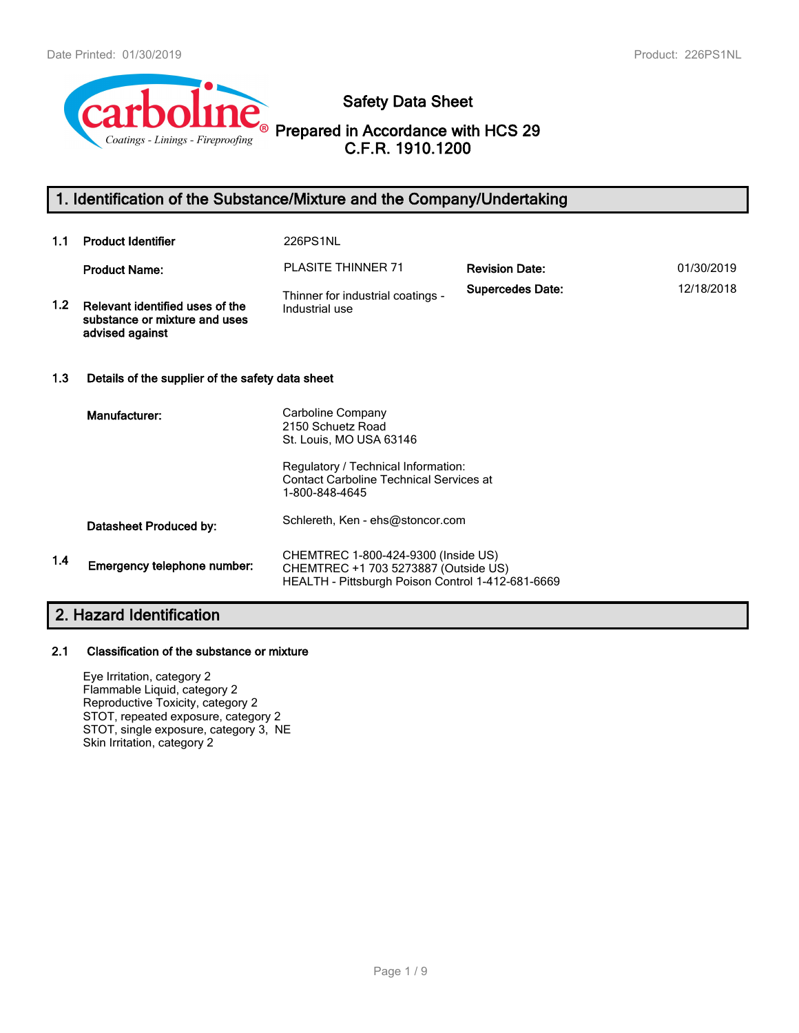

# **Safety Data Sheet**

**Prepared in Accordance with HCS 29 C.F.R. 1910.1200**

# **1. Identification of the Substance/Mixture and the Company/Undertaking**

| 1.1 | <b>Product Identifier</b>                                                           | 226PS1NL                                                                                                                                            |                         |            |  |
|-----|-------------------------------------------------------------------------------------|-----------------------------------------------------------------------------------------------------------------------------------------------------|-------------------------|------------|--|
|     | <b>Product Name:</b>                                                                | <b>PLASITE THINNER 71</b>                                                                                                                           | <b>Revision Date:</b>   | 01/30/2019 |  |
| 1.2 | Relevant identified uses of the<br>substance or mixture and uses<br>advised against | Thinner for industrial coatings -<br>Industrial use                                                                                                 | <b>Supercedes Date:</b> | 12/18/2018 |  |
| 1.3 | Details of the supplier of the safety data sheet                                    |                                                                                                                                                     |                         |            |  |
|     | Manufacturer:                                                                       | Carboline Company<br>2150 Schuetz Road<br>St. Louis, MO USA 63146<br>Regulatory / Technical Information:<br>Contact Carboline Technical Services at |                         |            |  |
|     |                                                                                     | 1-800-848-4645                                                                                                                                      |                         |            |  |
|     | Datasheet Produced by:                                                              | Schlereth, Ken - ehs@stoncor.com                                                                                                                    |                         |            |  |
| 1.4 | Emergency telephone number:                                                         | CHEMTREC 1-800-424-9300 (Inside US)<br>CHEMTREC +1 703 5273887 (Outside US)<br>HEALTH - Pittsburgh Poison Control 1-412-681-6669                    |                         |            |  |

# **2. Hazard Identification**

## **2.1 Classification of the substance or mixture**

Eye Irritation, category 2 Flammable Liquid, category 2 Reproductive Toxicity, category 2 STOT, repeated exposure, category 2 STOT, single exposure, category 3, NE Skin Irritation, category 2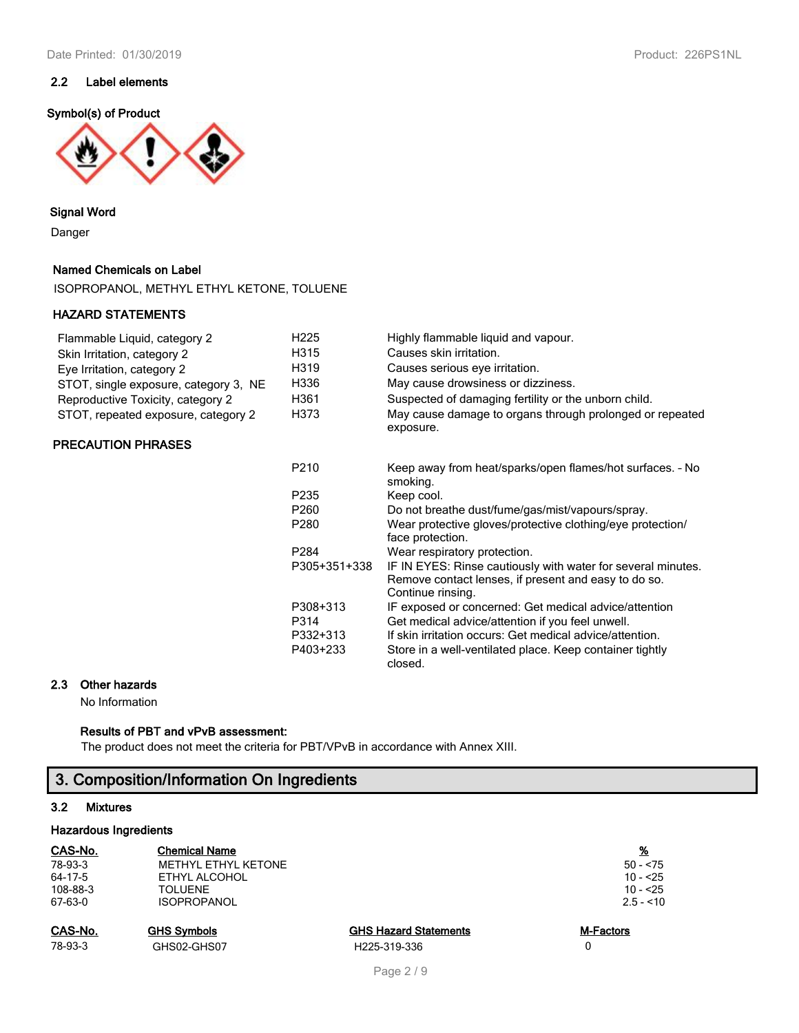## **2.2 Label elements**

### **Symbol(s) of Product**



## **Signal Word**

Danger

## **Named Chemicals on Label**

ISOPROPANOL, METHYL ETHYL KETONE, TOLUENE

## **HAZARD STATEMENTS**

| Flammable Liquid, category 2          | H <sub>225</sub> |
|---------------------------------------|------------------|
| Skin Irritation, category 2           | H315             |
| Eye Irritation, category 2            | H319             |
| STOT, single exposure, category 3, NE | H336             |
| Reproductive Toxicity, category 2     | H361             |
| STOT, repeated exposure, category 2   | H373             |

## **PRECAUTION PHRASES**

| H361<br>H373 | Suspected of damaging fertility or the unborn child.<br>May cause damage to organs through prolonged or repeated<br>exposure.             |
|--------------|-------------------------------------------------------------------------------------------------------------------------------------------|
| P210         | Keep away from heat/sparks/open flames/hot surfaces. - No<br>smoking.                                                                     |
| P235         | Keep cool.                                                                                                                                |
| P260         | Do not breathe dust/fume/gas/mist/vapours/spray.                                                                                          |
| P280         | Wear protective gloves/protective clothing/eye protection/<br>face protection.                                                            |
| P284         | Wear respiratory protection.                                                                                                              |
| P305+351+338 | IF IN EYES: Rinse cautiously with water for several minutes.<br>Remove contact lenses, if present and easy to do so.<br>Continue rinsing. |
| P308+313     | IF exposed or concerned: Get medical advice/attention                                                                                     |
| P314         | Get medical advice/attention if you feel unwell.                                                                                          |
| P332+313     | If skin irritation occurs: Get medical advice/attention.                                                                                  |
| P403+233     | Store in a well-ventilated place. Keep container tightly<br>closed.                                                                       |

Highly flammable liquid and vapour.

Causes skin irritation. Causes serious eye irritation. May cause drowsiness or dizziness.

## **2.3 Other hazards**

No Information

# **Results of PBT and vPvB assessment:**

The product does not meet the criteria for PBT/VPvB in accordance with Annex XIII.

# **3. Composition/Information On Ingredients**

# **3.2 Mixtures**

# **Hazardous Ingredients**

| CAS-No.  | <b>Chemical Name</b> |                              | <u>%</u>         |  |  |  |
|----------|----------------------|------------------------------|------------------|--|--|--|
| 78-93-3  | METHYL ETHYL KETONE  |                              | $50 - 575$       |  |  |  |
| 64-17-5  | ETHYL ALCOHOL        |                              | $10 - 25$        |  |  |  |
| 108-88-3 | <b>TOLUENE</b>       |                              | $10 - 25$        |  |  |  |
| 67-63-0  | <b>ISOPROPANOL</b>   |                              | $2.5 - 10$       |  |  |  |
| CAS-No.  | <b>GHS Symbols</b>   | <b>GHS Hazard Statements</b> | <b>M-Factors</b> |  |  |  |
| 78-93-3  | GHS02-GHS07          | H225-319-336                 |                  |  |  |  |
|          |                      |                              |                  |  |  |  |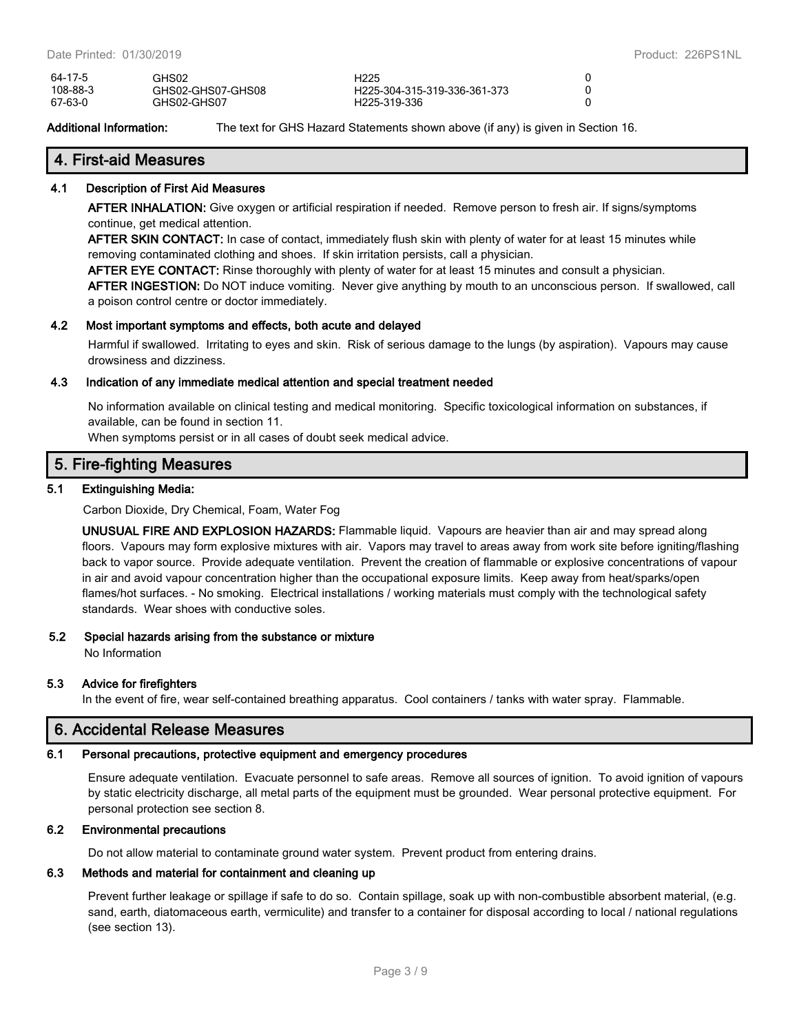| 64-17-5  | GHS02             | H <sub>225</sub>             |  |
|----------|-------------------|------------------------------|--|
| 108-88-3 | GHS02-GHS07-GHS08 | H225-304-315-319-336-361-373 |  |
| 67-63-0  | GHS02-GHS07       | H <sub>225</sub> -319-336    |  |

**Additional Information:** The text for GHS Hazard Statements shown above (if any) is given in Section 16.

# **4. First-aid Measures**

## **4.1 Description of First Aid Measures**

**AFTER INHALATION:** Give oxygen or artificial respiration if needed. Remove person to fresh air. If signs/symptoms continue, get medical attention.

**AFTER SKIN CONTACT:** In case of contact, immediately flush skin with plenty of water for at least 15 minutes while removing contaminated clothing and shoes. If skin irritation persists, call a physician.

**AFTER EYE CONTACT:** Rinse thoroughly with plenty of water for at least 15 minutes and consult a physician.

**AFTER INGESTION:** Do NOT induce vomiting. Never give anything by mouth to an unconscious person. If swallowed, call a poison control centre or doctor immediately.

## **4.2 Most important symptoms and effects, both acute and delayed**

Harmful if swallowed. Irritating to eyes and skin. Risk of serious damage to the lungs (by aspiration). Vapours may cause drowsiness and dizziness.

## **4.3 Indication of any immediate medical attention and special treatment needed**

No information available on clinical testing and medical monitoring. Specific toxicological information on substances, if available, can be found in section 11.

When symptoms persist or in all cases of doubt seek medical advice.

# **5. Fire-fighting Measures**

## **5.1 Extinguishing Media:**

Carbon Dioxide, Dry Chemical, Foam, Water Fog

**UNUSUAL FIRE AND EXPLOSION HAZARDS:** Flammable liquid. Vapours are heavier than air and may spread along floors. Vapours may form explosive mixtures with air. Vapors may travel to areas away from work site before igniting/flashing back to vapor source. Provide adequate ventilation. Prevent the creation of flammable or explosive concentrations of vapour in air and avoid vapour concentration higher than the occupational exposure limits. Keep away from heat/sparks/open flames/hot surfaces. - No smoking. Electrical installations / working materials must comply with the technological safety standards. Wear shoes with conductive soles.

## **5.2 Special hazards arising from the substance or mixture**

No Information

## **5.3 Advice for firefighters**

In the event of fire, wear self-contained breathing apparatus. Cool containers / tanks with water spray. Flammable.

# **6. Accidental Release Measures**

# **6.1 Personal precautions, protective equipment and emergency procedures**

Ensure adequate ventilation. Evacuate personnel to safe areas. Remove all sources of ignition. To avoid ignition of vapours by static electricity discharge, all metal parts of the equipment must be grounded. Wear personal protective equipment. For personal protection see section 8.

# **6.2 Environmental precautions**

Do not allow material to contaminate ground water system. Prevent product from entering drains.

# **6.3 Methods and material for containment and cleaning up**

Prevent further leakage or spillage if safe to do so. Contain spillage, soak up with non-combustible absorbent material, (e.g. sand, earth, diatomaceous earth, vermiculite) and transfer to a container for disposal according to local / national regulations (see section 13).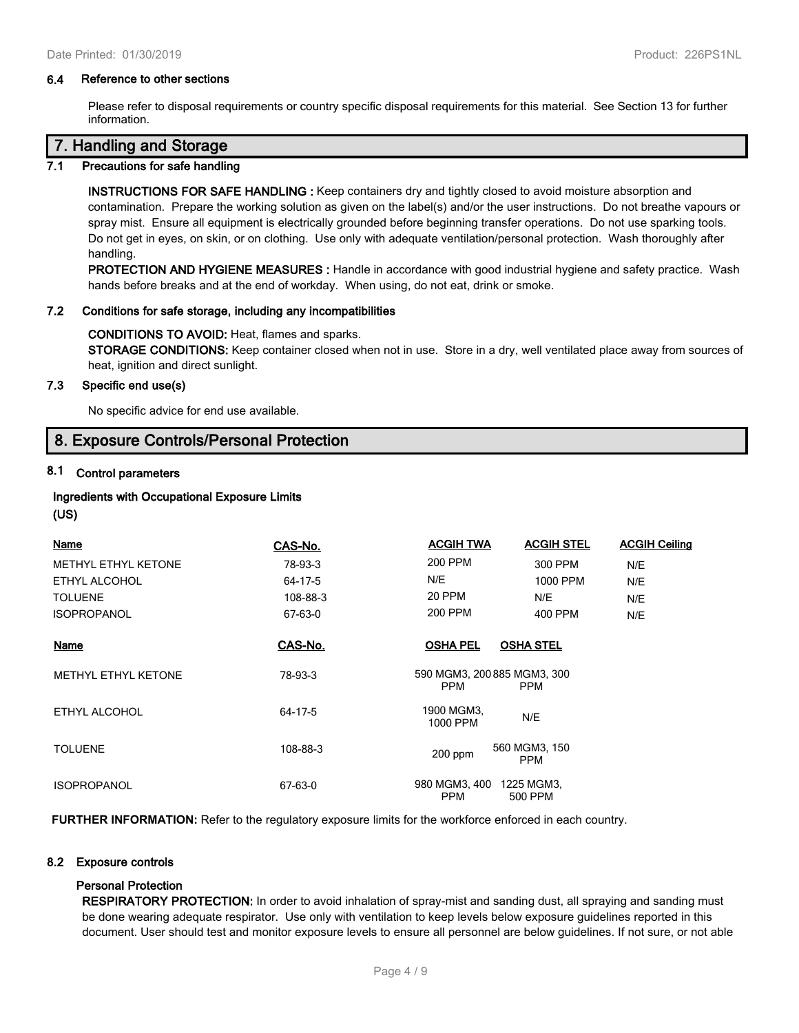### **6.4 Reference to other sections**

Please refer to disposal requirements or country specific disposal requirements for this material. See Section 13 for further information.

# **7. Handling and Storage**

### **7.1 Precautions for safe handling**

**INSTRUCTIONS FOR SAFE HANDLING :** Keep containers dry and tightly closed to avoid moisture absorption and contamination. Prepare the working solution as given on the label(s) and/or the user instructions. Do not breathe vapours or spray mist. Ensure all equipment is electrically grounded before beginning transfer operations. Do not use sparking tools. Do not get in eyes, on skin, or on clothing. Use only with adequate ventilation/personal protection. Wash thoroughly after handling.

**PROTECTION AND HYGIENE MEASURES :** Handle in accordance with good industrial hygiene and safety practice. Wash hands before breaks and at the end of workday. When using, do not eat, drink or smoke.

#### **7.2 Conditions for safe storage, including any incompatibilities**

#### **CONDITIONS TO AVOID:** Heat, flames and sparks.

**STORAGE CONDITIONS:** Keep container closed when not in use. Store in a dry, well ventilated place away from sources of heat, ignition and direct sunlight.

## **7.3 Specific end use(s)**

No specific advice for end use available.

# **8. Exposure Controls/Personal Protection**

# **8.1 Control parameters**

## **Ingredients with Occupational Exposure Limits**

#### **(US)**

| <b>Name</b>                | CAS-No.  | <b>ACGIH TWA</b>                          | <b>ACGIH STEL</b>           | <b>ACGIH Ceiling</b> |
|----------------------------|----------|-------------------------------------------|-----------------------------|----------------------|
| <b>METHYL ETHYL KETONE</b> | 78-93-3  | 200 PPM                                   | 300 PPM                     | N/E                  |
| ETHYL ALCOHOL              | 64-17-5  | N/E                                       | 1000 PPM                    | N/E                  |
| <b>TOLUENE</b>             | 108-88-3 | 20 PPM                                    | N/E                         | N/E                  |
| <b>ISOPROPANOL</b>         | 67-63-0  | 200 PPM                                   | 400 PPM                     | N/E                  |
| Name                       | CAS-No.  | <b>OSHA PEL</b>                           | <b>OSHA STEL</b>            |                      |
| METHYL ETHYL KETONE        | 78-93-3  | 590 MGM3, 200 885 MGM3, 300<br><b>PPM</b> | <b>PPM</b>                  |                      |
| ETHYL ALCOHOL              | 64-17-5  | 1900 MGM3,<br>1000 PPM                    | N/E                         |                      |
| <b>TOLUENE</b>             | 108-88-3 | $200$ ppm                                 | 560 MGM3, 150<br><b>PPM</b> |                      |
| <b>ISOPROPANOL</b>         | 67-63-0  | 980 MGM3, 400<br><b>PPM</b>               | 1225 MGM3,<br>500 PPM       |                      |

**FURTHER INFORMATION:** Refer to the regulatory exposure limits for the workforce enforced in each country.

## **8.2 Exposure controls**

## **Personal Protection**

**RESPIRATORY PROTECTION:** In order to avoid inhalation of spray-mist and sanding dust, all spraying and sanding must be done wearing adequate respirator. Use only with ventilation to keep levels below exposure guidelines reported in this document. User should test and monitor exposure levels to ensure all personnel are below guidelines. If not sure, or not able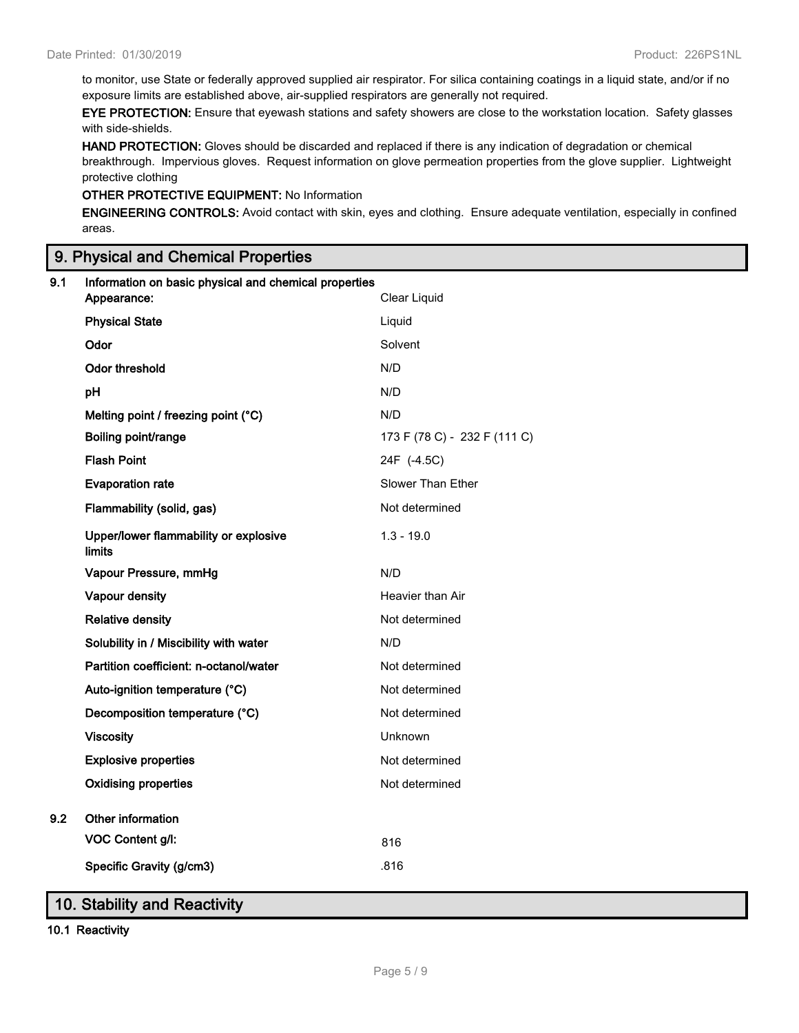to monitor, use State or federally approved supplied air respirator. For silica containing coatings in a liquid state, and/or if no exposure limits are established above, air-supplied respirators are generally not required.

**EYE PROTECTION:** Ensure that eyewash stations and safety showers are close to the workstation location. Safety glasses with side-shields.

**HAND PROTECTION:** Gloves should be discarded and replaced if there is any indication of degradation or chemical breakthrough. Impervious gloves. Request information on glove permeation properties from the glove supplier. Lightweight protective clothing

# **OTHER PROTECTIVE EQUIPMENT:** No Information

**ENGINEERING CONTROLS:** Avoid contact with skin, eyes and clothing. Ensure adequate ventilation, especially in confined areas.

# **9. Physical and Chemical Properties**

| 9.1 | Information on basic physical and chemical properties<br>Clear Liquid<br>Appearance: |                              |  |  |  |
|-----|--------------------------------------------------------------------------------------|------------------------------|--|--|--|
|     | <b>Physical State</b>                                                                | Liquid                       |  |  |  |
|     | Odor                                                                                 | Solvent                      |  |  |  |
|     |                                                                                      |                              |  |  |  |
|     | Odor threshold                                                                       | N/D                          |  |  |  |
|     | pH                                                                                   | N/D                          |  |  |  |
|     | Melting point / freezing point (°C)                                                  | N/D                          |  |  |  |
|     | Boiling point/range                                                                  | 173 F (78 C) - 232 F (111 C) |  |  |  |
|     | <b>Flash Point</b>                                                                   | 24F (-4.5C)                  |  |  |  |
|     | <b>Evaporation rate</b>                                                              | Slower Than Ether            |  |  |  |
|     | Flammability (solid, gas)                                                            | Not determined               |  |  |  |
|     | Upper/lower flammability or explosive<br>limits                                      | $1.3 - 19.0$                 |  |  |  |
|     | Vapour Pressure, mmHg                                                                | N/D                          |  |  |  |
|     | Vapour density                                                                       | Heavier than Air             |  |  |  |
|     | <b>Relative density</b>                                                              | Not determined               |  |  |  |
|     | Solubility in / Miscibility with water                                               | N/D                          |  |  |  |
|     | Partition coefficient: n-octanol/water                                               | Not determined               |  |  |  |
|     | Auto-ignition temperature (°C)                                                       | Not determined               |  |  |  |
|     | Decomposition temperature (°C)                                                       | Not determined               |  |  |  |
|     | <b>Viscosity</b>                                                                     | Unknown                      |  |  |  |
|     | <b>Explosive properties</b>                                                          | Not determined               |  |  |  |
|     | <b>Oxidising properties</b>                                                          | Not determined               |  |  |  |
| 9.2 | Other information                                                                    |                              |  |  |  |
|     | VOC Content g/l:                                                                     | 816                          |  |  |  |
|     | Specific Gravity (g/cm3)                                                             | .816                         |  |  |  |
|     |                                                                                      |                              |  |  |  |

# **10. Stability and Reactivity**

**10.1 Reactivity**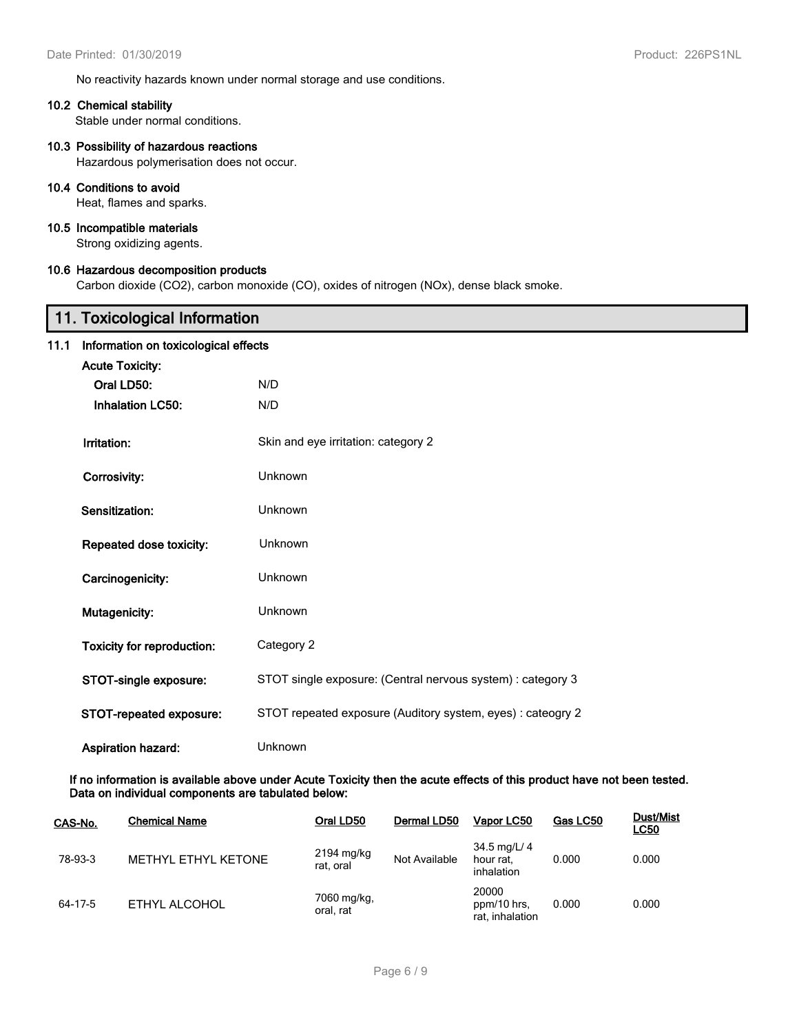No reactivity hazards known under normal storage and use conditions.

### **10.2 Chemical stability**

Stable under normal conditions.

## **10.3 Possibility of hazardous reactions**

Hazardous polymerisation does not occur.

## **10.4 Conditions to avoid**

Heat, flames and sparks.

## **10.5 Incompatible materials**

Strong oxidizing agents.

## **10.6 Hazardous decomposition products**

Carbon dioxide (CO2), carbon monoxide (CO), oxides of nitrogen (NOx), dense black smoke.

|      | 11. Toxicological Information        |                                                             |  |  |  |  |
|------|--------------------------------------|-------------------------------------------------------------|--|--|--|--|
| 11.1 | Information on toxicological effects |                                                             |  |  |  |  |
|      | <b>Acute Toxicity:</b>               |                                                             |  |  |  |  |
|      | Oral LD50:                           | N/D                                                         |  |  |  |  |
|      | <b>Inhalation LC50:</b>              | N/D                                                         |  |  |  |  |
|      | Irritation:                          | Skin and eye irritation: category 2                         |  |  |  |  |
|      | Corrosivity:                         | Unknown                                                     |  |  |  |  |
|      | Sensitization:                       | <b>Unknown</b>                                              |  |  |  |  |
|      | Repeated dose toxicity:              | Unknown                                                     |  |  |  |  |
|      | Carcinogenicity:                     | Unknown                                                     |  |  |  |  |
|      | Mutagenicity:                        | Unknown                                                     |  |  |  |  |
|      | <b>Toxicity for reproduction:</b>    | Category 2                                                  |  |  |  |  |
|      | STOT-single exposure:                | STOT single exposure: (Central nervous system) : category 3 |  |  |  |  |
|      | STOT-repeated exposure:              | STOT repeated exposure (Auditory system, eyes) : cateogry 2 |  |  |  |  |
|      | <b>Aspiration hazard:</b>            | Unknown                                                     |  |  |  |  |

**If no information is available above under Acute Toxicity then the acute effects of this product have not been tested. Data on individual components are tabulated below:**

| CAS-No. | <b>Chemical Name</b> | Oral LD50                | Dermal LD50   | Vapor LC50                                           | Gas LC50 | <b>Dust/Mist</b><br><u>LC50</u> |
|---------|----------------------|--------------------------|---------------|------------------------------------------------------|----------|---------------------------------|
| 78-93-3 | METHYL ETHYL KETONE  | 2194 mg/kg<br>rat, oral  | Not Available | $34.5 \,\mathrm{mag/L}$ 4<br>hour rat.<br>inhalation | 0.000    | 0.000                           |
| 64-17-5 | ETHYL ALCOHOL        | 7060 mg/kg,<br>oral, rat |               | 20000<br>ppm/10 hrs,<br>rat, inhalation              | 0.000    | 0.000                           |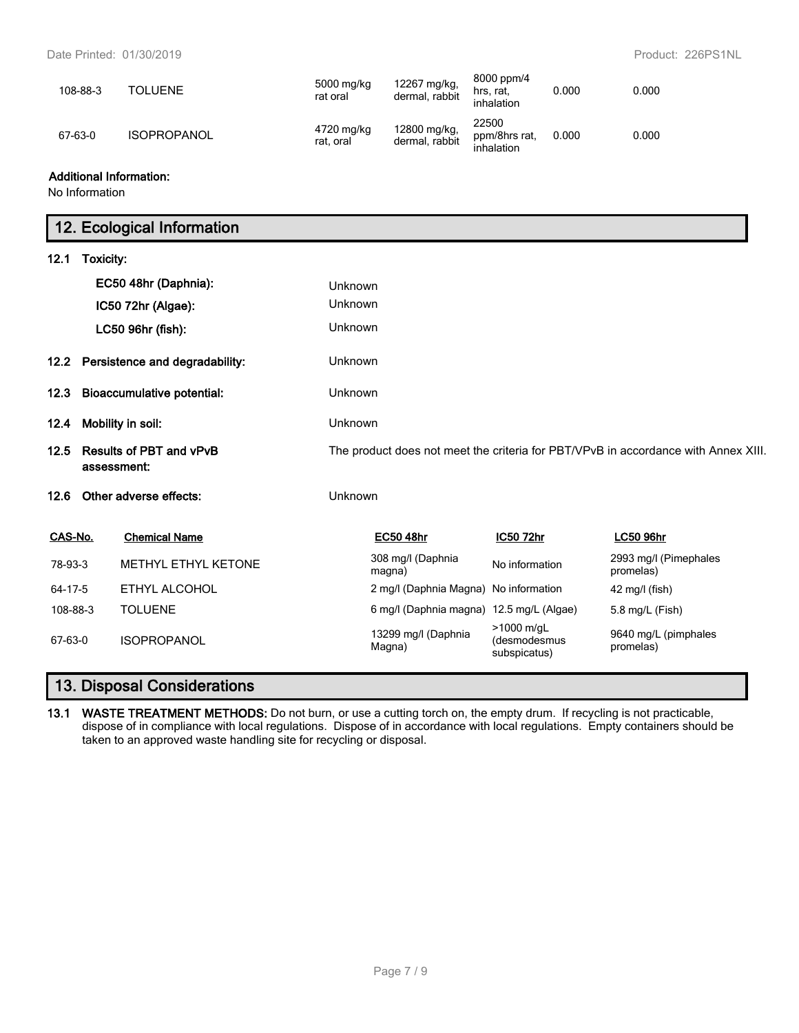| 108-88-3 | <b>TOLUENE</b>     | 5000 mg/kg<br>rat oral  | 12267 mg/kg,<br>dermal, rabbit | 8000 ppm/4<br>hrs. rat.<br>inhalation | 0.000 | 0.000 |
|----------|--------------------|-------------------------|--------------------------------|---------------------------------------|-------|-------|
| 67-63-0  | <b>ISOPROPANOL</b> | 4720 mg/kg<br>rat, oral | 12800 mg/kg,<br>dermal, rabbit | 22500<br>ppm/8hrs rat.<br>inhalation  | 0.000 | 0.000 |

## **Additional Information:**

No Information

# **12. Ecological Information**

| 12.1                                                  | Toxicity: |                                                                                    |                |                                          |                                            |                                    |
|-------------------------------------------------------|-----------|------------------------------------------------------------------------------------|----------------|------------------------------------------|--------------------------------------------|------------------------------------|
|                                                       |           | EC50 48hr (Daphnia):                                                               | Unknown        |                                          |                                            |                                    |
|                                                       |           | IC50 72hr (Algae):                                                                 | Unknown        |                                          |                                            |                                    |
|                                                       |           | LC50 96hr (fish):                                                                  | Unknown        |                                          |                                            |                                    |
| 12.2                                                  |           | Persistence and degradability:                                                     | <b>Unknown</b> |                                          |                                            |                                    |
| 12.3                                                  |           | <b>Bioaccumulative potential:</b>                                                  | Unknown        |                                          |                                            |                                    |
| Mobility in soil:<br>12.4                             |           | Unknown                                                                            |                |                                          |                                            |                                    |
| <b>Results of PBT and vPvB</b><br>12.5<br>assessment: |           | The product does not meet the criteria for PBT/VPvB in accordance with Annex XIII. |                |                                          |                                            |                                    |
| 12.6                                                  |           | Other adverse effects:                                                             | Unknown        |                                          |                                            |                                    |
| CAS-No.                                               |           | <b>Chemical Name</b>                                                               |                | <b>EC50 48hr</b>                         | IC50 72hr                                  | <b>LC50 96hr</b>                   |
| 78-93-3                                               |           | METHYL ETHYL KETONE                                                                |                | 308 mg/l (Daphnia<br>magna)              | No information                             | 2993 mg/l (Pimephales<br>promelas) |
| 64-17-5                                               |           | ETHYL ALCOHOL                                                                      |                | 2 mg/l (Daphnia Magna) No information    |                                            | $42$ mg/l (fish)                   |
| 108-88-3                                              |           | <b>TOLUENE</b>                                                                     |                | 6 mg/l (Daphnia magna) 12.5 mg/L (Algae) |                                            | 5.8 mg/L (Fish)                    |
| 67-63-0                                               |           | <b>ISOPROPANOL</b>                                                                 |                | 13299 mg/l (Daphnia<br>Magna)            | >1000 m/gL<br>(desmodesmus<br>subspicatus) | 9640 mg/L (pimphales<br>promelas)  |

# **13. Disposal Considerations**

**13.1 WASTE TREATMENT METHODS:** Do not burn, or use a cutting torch on, the empty drum. If recycling is not practicable, dispose of in compliance with local regulations. Dispose of in accordance with local regulations. Empty containers should be taken to an approved waste handling site for recycling or disposal.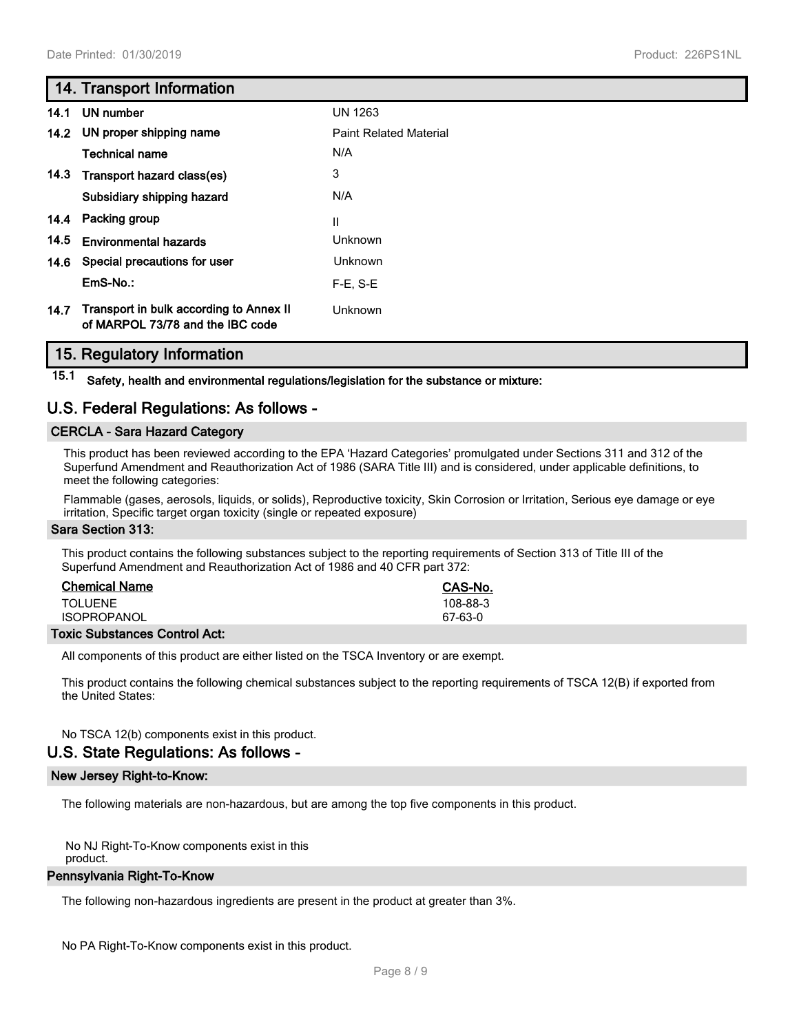# **14. Transport Information**

|      | 14.1 UN number                                                              | <b>UN 1263</b>                |
|------|-----------------------------------------------------------------------------|-------------------------------|
|      | 14.2 UN proper shipping name                                                | <b>Paint Related Material</b> |
|      | Technical name                                                              | N/A                           |
| 14.3 | Transport hazard class(es)                                                  | 3                             |
|      | Subsidiary shipping hazard                                                  | N/A                           |
|      | 14.4 Packing group                                                          | Ш                             |
| 14.5 | <b>Environmental hazards</b>                                                | Unknown                       |
| 14.6 | Special precautions for user                                                | Unknown                       |
|      | $EmS-No.$ :                                                                 | $F-E. S-E$                    |
| 14.7 | Transport in bulk according to Annex II<br>of MARPOL 73/78 and the IBC code | Unknown                       |

# **15. Regulatory Information**

**15.1 Safety, health and environmental regulations/legislation for the substance or mixture:**

# **U.S. Federal Regulations: As follows -**

## **CERCLA - Sara Hazard Category**

This product has been reviewed according to the EPA 'Hazard Categories' promulgated under Sections 311 and 312 of the Superfund Amendment and Reauthorization Act of 1986 (SARA Title III) and is considered, under applicable definitions, to meet the following categories:

Flammable (gases, aerosols, liquids, or solids), Reproductive toxicity, Skin Corrosion or Irritation, Serious eye damage or eye irritation, Specific target organ toxicity (single or repeated exposure)

## **Sara Section 313:**

This product contains the following substances subject to the reporting requirements of Section 313 of Title III of the Superfund Amendment and Reauthorization Act of 1986 and 40 CFR part 372:

| <b>Chemical Name</b> | CAS-No.  |
|----------------------|----------|
| <b>TOLUENE</b>       | 108-88-3 |
| <b>ISOPROPANOL</b>   | 67-63-0  |
|                      |          |

**Toxic Substances Control Act:**

All components of this product are either listed on the TSCA Inventory or are exempt.

This product contains the following chemical substances subject to the reporting requirements of TSCA 12(B) if exported from the United States:

No TSCA 12(b) components exist in this product.

# **U.S. State Regulations: As follows -**

## **New Jersey Right-to-Know:**

The following materials are non-hazardous, but are among the top five components in this product.

No NJ Right-To-Know components exist in this

# product.

# **Pennsylvania Right-To-Know**

The following non-hazardous ingredients are present in the product at greater than 3%.

No PA Right-To-Know components exist in this product.